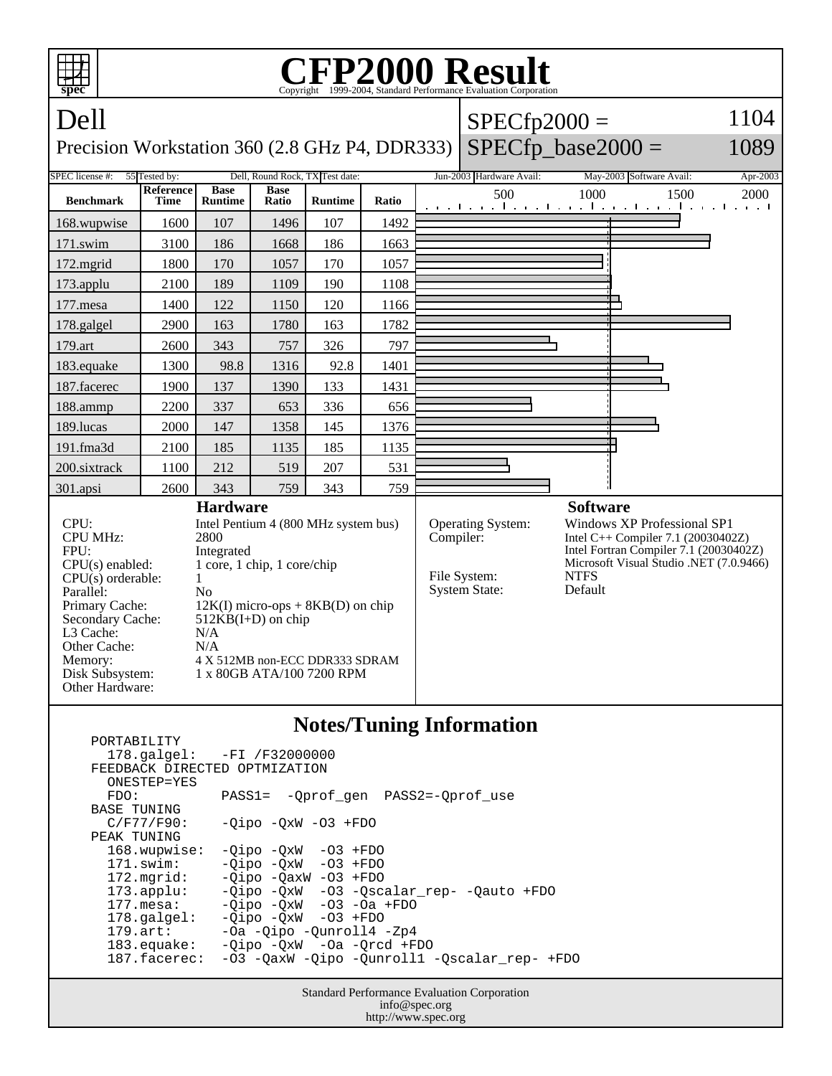| spec                                                                                                                                                                                                                                                                                                                                                                                                                                                                                  | <b>FP2000 Result</b><br>Copyright ©1999-2004, Standard Performance Evaluation Cornoration |                               |                      |                |           |                                                                  |                                                                                                                                                                                                     |      |                                                         |      |  |
|---------------------------------------------------------------------------------------------------------------------------------------------------------------------------------------------------------------------------------------------------------------------------------------------------------------------------------------------------------------------------------------------------------------------------------------------------------------------------------------|-------------------------------------------------------------------------------------------|-------------------------------|----------------------|----------------|-----------|------------------------------------------------------------------|-----------------------------------------------------------------------------------------------------------------------------------------------------------------------------------------------------|------|---------------------------------------------------------|------|--|
| Dell                                                                                                                                                                                                                                                                                                                                                                                                                                                                                  |                                                                                           |                               |                      |                |           |                                                                  | $SPECfp2000 =$                                                                                                                                                                                      |      |                                                         | 1104 |  |
| $SPECfp\_base2000 =$<br>1089<br>Precision Workstation 360 (2.8 GHz P4, DDR333)                                                                                                                                                                                                                                                                                                                                                                                                        |                                                                                           |                               |                      |                |           |                                                                  |                                                                                                                                                                                                     |      |                                                         |      |  |
| Dell, Round Rock, TX Test date:<br><b>SPEC</b> license #:<br>55 Tested by:<br>Jun-2003 Hardware Avail:<br>May-2003 Software Avail:                                                                                                                                                                                                                                                                                                                                                    |                                                                                           |                               |                      |                |           |                                                                  |                                                                                                                                                                                                     |      | Apr-2003                                                |      |  |
| <b>Benchmark</b>                                                                                                                                                                                                                                                                                                                                                                                                                                                                      | Reference<br>Time                                                                         | <b>Base</b><br><b>Runtime</b> | <b>Base</b><br>Ratio | <b>Runtime</b> | Ratio     |                                                                  | 500                                                                                                                                                                                                 | 1000 | 1500<br>المتوجا وتوجا وتوجا وتوجا وتوجا وتوجا وتوجا وتو | 2000 |  |
| 168.wupwise                                                                                                                                                                                                                                                                                                                                                                                                                                                                           | 1600                                                                                      | 107                           | 1496                 | 107            | 1492      |                                                                  |                                                                                                                                                                                                     |      |                                                         |      |  |
| 171.swim                                                                                                                                                                                                                                                                                                                                                                                                                                                                              | 3100                                                                                      | 186                           | 1668                 | 186            | 1663      |                                                                  |                                                                                                                                                                                                     |      |                                                         |      |  |
| $172$ . mgrid                                                                                                                                                                                                                                                                                                                                                                                                                                                                         | 1800                                                                                      | 170                           | 1057                 | 170            | 1057      |                                                                  |                                                                                                                                                                                                     |      |                                                         |      |  |
| 173.applu                                                                                                                                                                                                                                                                                                                                                                                                                                                                             | 2100                                                                                      | 189                           | 1109                 | 190            | 1108      |                                                                  |                                                                                                                                                                                                     |      |                                                         |      |  |
| 177.mesa                                                                                                                                                                                                                                                                                                                                                                                                                                                                              | 1400                                                                                      | 122                           | 1150                 | 120            | 1166      |                                                                  |                                                                                                                                                                                                     |      |                                                         |      |  |
| 178.galgel                                                                                                                                                                                                                                                                                                                                                                                                                                                                            | 2900                                                                                      | 163                           | 1780                 | 163            | 1782      |                                                                  |                                                                                                                                                                                                     |      |                                                         |      |  |
| 179.art                                                                                                                                                                                                                                                                                                                                                                                                                                                                               | 2600                                                                                      | 343                           | 757                  | 326            | 797       |                                                                  |                                                                                                                                                                                                     |      |                                                         |      |  |
| 183.equake                                                                                                                                                                                                                                                                                                                                                                                                                                                                            | 1300                                                                                      | 98.8                          | 1316                 | 92.8           | 1401      |                                                                  |                                                                                                                                                                                                     |      |                                                         |      |  |
| 187.facerec                                                                                                                                                                                                                                                                                                                                                                                                                                                                           | 1900                                                                                      | 137                           | 1390                 | 133            | 1431      |                                                                  |                                                                                                                                                                                                     |      |                                                         |      |  |
| 188.ammp                                                                                                                                                                                                                                                                                                                                                                                                                                                                              | 2200                                                                                      | 337                           | 653                  | 336            | 656       |                                                                  |                                                                                                                                                                                                     |      |                                                         |      |  |
| 189.lucas                                                                                                                                                                                                                                                                                                                                                                                                                                                                             | 2000                                                                                      | 147                           | 1358                 | 145            | 1376      |                                                                  |                                                                                                                                                                                                     |      |                                                         |      |  |
| 191.fma3d                                                                                                                                                                                                                                                                                                                                                                                                                                                                             | 2100                                                                                      | 185                           | 1135                 | 185            | 1135      |                                                                  |                                                                                                                                                                                                     |      |                                                         |      |  |
| 200.sixtrack                                                                                                                                                                                                                                                                                                                                                                                                                                                                          | 1100                                                                                      | 212                           | 519                  | 207            | 531       |                                                                  |                                                                                                                                                                                                     |      |                                                         |      |  |
| 301.apsi                                                                                                                                                                                                                                                                                                                                                                                                                                                                              | 2600                                                                                      | 343                           | 759                  | 343            | 759       |                                                                  |                                                                                                                                                                                                     |      |                                                         |      |  |
| <b>Hardware</b><br>CPU:<br>Intel Pentium 4 (800 MHz system bus)<br><b>CPU MHz:</b><br>2800<br>FPU:<br>Integrated<br>1 core, 1 chip, 1 core/chip<br>$CPU(s)$ enabled:<br>$CPU(s)$ orderable:<br>1<br>Parallel:<br>No<br>Primary Cache:<br>$12K(I)$ micro-ops + $8KB(D)$ on chip<br>Secondary Cache:<br>$512KB(I+D)$ on chip<br>L3 Cache:<br>N/A<br>Other Cache:<br>N/A<br>Memory:<br>4 X 512MB non-ECC DDR333 SDRAM<br>Disk Subsystem:<br>1 x 80GB ATA/100 7200 RPM<br>Other Hardware: |                                                                                           |                               |                      |                | Compiler: | <b>Operating System:</b><br>File System:<br><b>System State:</b> | <b>Software</b><br>Windows XP Professional SP1<br>Intel C++ Compiler 7.1 (20030402Z)<br>Intel Fortran Compiler 7.1 (20030402Z)<br>Microsoft Visual Studio .NET (7.0.9466)<br><b>NTFS</b><br>Default |      |                                                         |      |  |
| <b>Notes/Tuning Information</b><br>PORTABILITY                                                                                                                                                                                                                                                                                                                                                                                                                                        |                                                                                           |                               |                      |                |           |                                                                  |                                                                                                                                                                                                     |      |                                                         |      |  |

|                               | $178.\text{qalgel}: -FI /F32000000$          |  |  |  |  |  |
|-------------------------------|----------------------------------------------|--|--|--|--|--|
| FEEDBACK DIRECTED OPTMIZATION |                                              |  |  |  |  |  |
| ONESTEP=YES                   |                                              |  |  |  |  |  |
| FDO:                          | PASS1= -Oprof gen PASS2=-Oprof use           |  |  |  |  |  |
| BASE TUNING                   |                                              |  |  |  |  |  |
| $C/F77/F90$ :                 | $-Oipo$ $-OxW$ $-O3$ $+FDO$                  |  |  |  |  |  |
| PEAK TUNING                   |                                              |  |  |  |  |  |
| 168.wupwise:                  | $-Oipo -OXW -O3 + FDO$                       |  |  |  |  |  |
| $171$ .swim:                  | $-Oipo$ $-OxW$ $-O3$ $+FDO$                  |  |  |  |  |  |
| 172.mgrid:                    | $-Oipo$ $-OaxW$ $-O3$ $+FDO$                 |  |  |  |  |  |
| $173.\text{applu}:$           | -Qipo -QxW -03 -Qscalar rep- -Qauto +FDO     |  |  |  |  |  |
| $177.\text{mesa}$ :           | $-Oipo$ $-OxW$ $-O3$ $-Oa$ $+FDO$            |  |  |  |  |  |
| $178.\text{q}$                | $-Oipo$ $-OxW$ $-O3$ $+FDO$                  |  |  |  |  |  |
| $179.\text{art}$ :            | -Oa -Oipo -Ounroll4 -Zp4                     |  |  |  |  |  |
| 183.equake:                   | $-Oipo$ $-OxW$ $-Oa$ $-Orcd$ $+FDO$          |  |  |  |  |  |
| 187.facerec:                  | -03 -OaxW -Oipo -Ounroll1 -Oscalar rep- +FDO |  |  |  |  |  |
|                               |                                              |  |  |  |  |  |

Standard Performance Evaluation Corporation info@spec.org http://www.spec.org